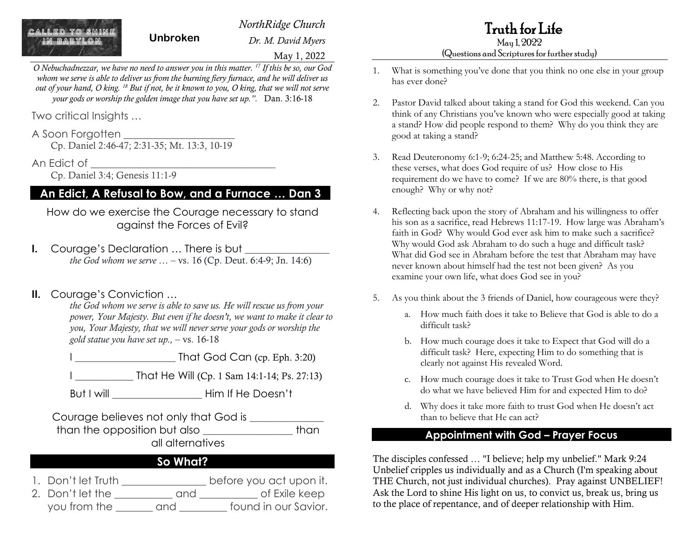*NorthRidge Church*

*Dr. M. David Myers*

Truth for Life

May 1, 2022 (Questions and Scriptures for further study)

- 1. What is something you've done that you think no one else in your group has ever done?
- 2. Pastor David talked about taking a stand for God this weekend. Can you think of any Christians you've known who were especially good at taking a stand? How did people respond to them? Why do you think they are good at taking a stand?
- 3. Read Deuteronomy 6:1-9; 6:24-25; and Matthew 5:48. According to these verses, what does God require of us? How close to His requirement do we have to come? If we are 80% there, is that good enough? Why or why not?
- 4. Reflecting back upon the story of Abraham and his willingness to offer his son as a sacrifice, read Hebrews 11:17-19. How large was Abraham's faith in God? Why would God ever ask him to make such a sacrifice? Why would God ask Abraham to do such a huge and difficult task? What did God see in Abraham before the test that Abraham may have never known about himself had the test not been given? As you examine your own life, what does God see in you?
- 5. As you think about the 3 friends of Daniel, how courageous were they?
	- a. How much faith does it take to Believe that God is able to do a difficult task?
	- b. How much courage does it take to Expect that God will do a difficult task? Here, expecting Him to do something that is clearly not against His revealed Word.
	- c. How much courage does it take to Trust God when He doesn't do what we have believed Him for and expected Him to do?
	- d. Why does it take more faith to trust God when He doesn't act than to believe that He can act?

#### **Appointment with God – Prayer Focus**

The disciples confessed … "I believe; help my unbelief." Mark 9:24 Unbelief cripples us individually and as a Church (I'm speaking about THE Church, not just individual churches). Pray against UNBELIEF! Ask the Lord to shine His light on us, to convict us, break us, bring us to the place of repentance, and of deeper relationship with Him.

ALLED TO SHINE **Unbroken**

May 1, 2022

*O Nebuchadnezzar, we have no need to answer you in this matter. <sup>17</sup> If this be so, our God whom we serve is able to deliver us from the burning fiery furnace, and he will deliver us out of your hand, O king. <sup>18</sup> But if not, be it known to you, O king, that we will not serve your gods or worship the golden image that you have set up.".* Dan. 3:16-18

Two critical Insights …

#### A Soon Forgotten \_\_\_\_\_\_\_\_\_\_\_\_\_\_\_\_\_\_\_\_\_

Cp. Daniel 2:46-47; 2:31-35; Mt. 13:3, 10-19

An Edict of \_\_\_\_\_\_\_\_\_\_\_\_\_\_\_\_\_\_\_\_\_\_\_\_\_\_\_\_\_\_\_\_\_\_\_

Cp. Daniel 3:4; Genesis 11:1-9

## **An Edict, A Refusal to Bow, and a Furnace … Dan 3**

How do we exercise the Courage necessary to stand against the Forces of Evil?

**I.** Courage's Declaration ... There is but *the God whom we serve …* – vs. 16 (Cp. Deut. 6:4-9; Jn. 14:6)

### **II.** Courage's Conviction …

*the God whom we serve is able to save us. He will rescue us from your power, Your Majesty. But even if he doesn't, we want to make it clear to you, Your Majesty, that we will never serve your gods or worship the gold statue you have set up.,* – vs. 16-18

 $\frac{1}{2}$  That God Can (cp. Eph. 3:20)

That He Will (Cp. 1 Sam 14:1-14; Ps. 27:13)

But I will **But I will construct A** Him If He Doesn't

Courage believes not only that God is \_\_\_\_\_\_\_\_\_\_\_\_\_\_ than the opposition but also \_\_\_\_\_\_\_\_\_\_\_\_\_\_\_\_\_ than all alternatives

## **So What?**

1. Don't let Truth \_\_\_\_\_\_\_\_\_\_\_\_\_\_\_\_\_ before you act upon it. 2. Don't let the and of Exile keep you from the \_\_\_\_\_\_\_ and \_\_\_\_\_\_\_\_\_ found in our Savior.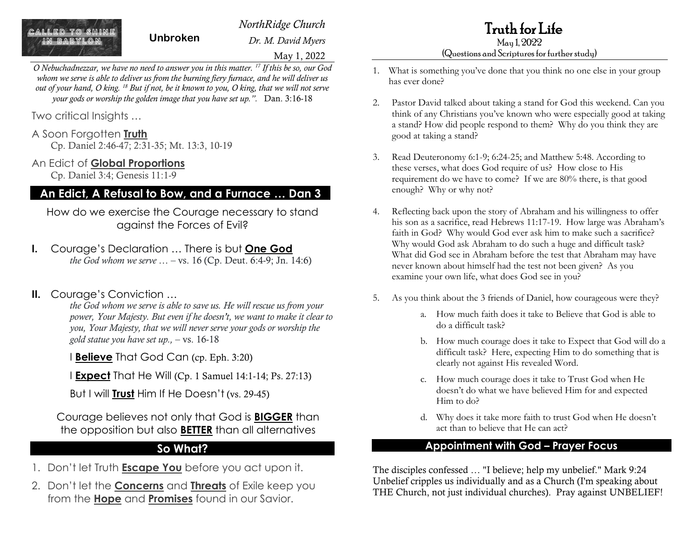**I ED TA QUINE** 

*NorthRidge Church*

*Dr. M. David Myers*

Truth for Life May 1, 2022

#### (Questions and Scriptures for further study)

- 1. What is something you've done that you think no one else in your group has ever done?
- 2. Pastor David talked about taking a stand for God this weekend. Can you think of any Christians you've known who were especially good at taking a stand? How did people respond to them? Why do you think they are good at taking a stand?
- 3. Read Deuteronomy 6:1-9; 6:24-25; and Matthew 5:48. According to these verses, what does God require of us? How close to His requirement do we have to come? If we are 80% there, is that good enough? Why or why not?
- 4. Reflecting back upon the story of Abraham and his willingness to offer his son as a sacrifice, read Hebrews 11:17-19. How large was Abraham's faith in God? Why would God ever ask him to make such a sacrifice? Why would God ask Abraham to do such a huge and difficult task? What did God see in Abraham before the test that Abraham may have never known about himself had the test not been given? As you examine your own life, what does God see in you?
- 5. As you think about the 3 friends of Daniel, how courageous were they?
	- a. How much faith does it take to Believe that God is able to do a difficult task?
	- b. How much courage does it take to Expect that God will do a difficult task? Here, expecting Him to do something that is clearly not against His revealed Word.
	- c. How much courage does it take to Trust God when He doesn't do what we have believed Him for and expected Him to do?
	- d. Why does it take more faith to trust God when He doesn't act than to believe that He can act?

#### **Appointment with God – Prayer Focus**

The disciples confessed … "I believe; help my unbelief." Mark 9:24 Unbelief cripples us individually and as a Church (I'm speaking about THE Church, not just individual churches). Pray against UNBELIEF!

May 1, 2022

*O Nebuchadnezzar, we have no need to answer you in this matter. <sup>17</sup> If this be so, our God whom we serve is able to deliver us from the burning fiery furnace, and he will deliver us out of your hand, O king. <sup>18</sup> But if not, be it known to you, O king, that we will not serve your gods or worship the golden image that you have set up.".* Dan. 3:16-18

**Unbroken**

Two critical Insights …

#### A Soon Forgotten **Truth**

Cp. Daniel 2:46-47; 2:31-35; Mt. 13:3, 10-19

#### An Edict of **Global Proportions**

Cp. Daniel 3:4; Genesis 11:1-9

## **An Edict, A Refusal to Bow, and a Furnace … Dan 3**

How do we exercise the Courage necessary to stand against the Forces of Evil?

**I.** Courage's Declaration … There is but **One God** *the God whom we serve …* – vs. 16 (Cp. Deut. 6:4-9; Jn. 14:6)

# **II.** Courage's Conviction …

*the God whom we serve is able to save us. He will rescue us from your power, Your Majesty. But even if he doesn't, we want to make it clear to you, Your Majesty, that we will never serve your gods or worship the gold statue you have set up.,* – vs. 16-18

I **Believe** That God Can (cp. Eph. 3:20)

I **Expect** That He Will (Cp. 1 Samuel 14:1-14; Ps. 27:13)

But I will **Trust** Him If He Doesn't (vs. 29-45)

Courage believes not only that God is **BIGGER** than the opposition but also **BETTER** than all alternatives

## **So What?**

- 1. Don't let Truth **Escape You** before you act upon it.
- 2. Don't let the **Concerns** and **Threats** of Exile keep you from the **Hope** and **Promises** found in our Savior.